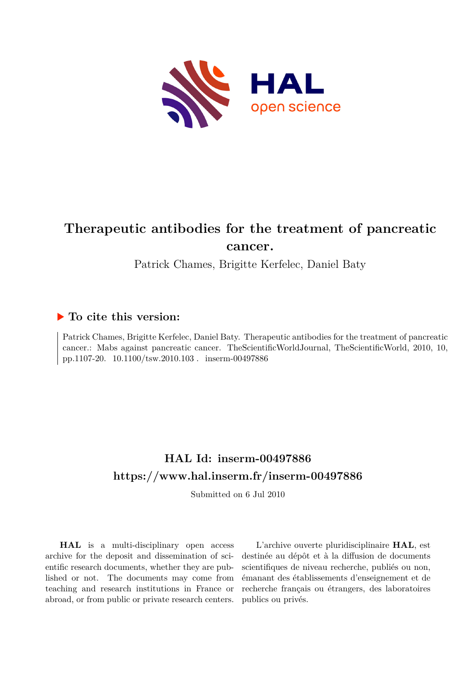

# **Therapeutic antibodies for the treatment of pancreatic cancer.**

Patrick Chames, Brigitte Kerfelec, Daniel Baty

## **To cite this version:**

Patrick Chames, Brigitte Kerfelec, Daniel Baty. Therapeutic antibodies for the treatment of pancreatic cancer.: Mabs against pancreatic cancer. TheScientificWorldJournal, TheScientificWorld, 2010, 10, pp.1107-20. 10.1100/tsw.2010.103. inserm-00497886

## **HAL Id: inserm-00497886 <https://www.hal.inserm.fr/inserm-00497886>**

Submitted on 6 Jul 2010

**HAL** is a multi-disciplinary open access archive for the deposit and dissemination of scientific research documents, whether they are published or not. The documents may come from teaching and research institutions in France or abroad, or from public or private research centers.

L'archive ouverte pluridisciplinaire **HAL**, est destinée au dépôt et à la diffusion de documents scientifiques de niveau recherche, publiés ou non, émanant des établissements d'enseignement et de recherche français ou étrangers, des laboratoires publics ou privés.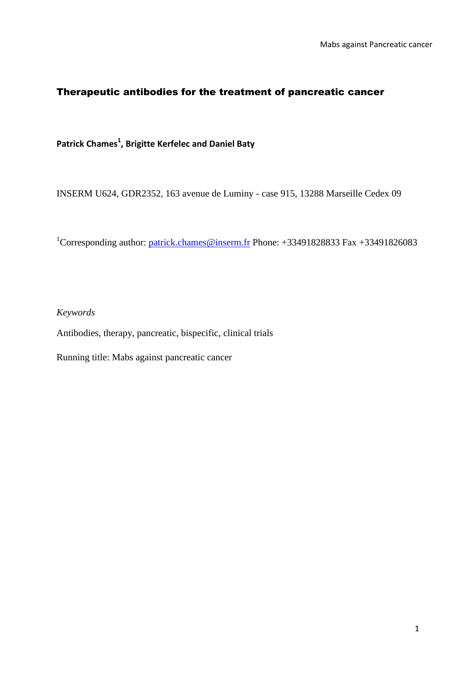## Therapeutic antibodies for the treatment of pancreatic cancer

### **Patrick Chames<sup>1</sup> , Brigitte Kerfelec and Daniel Baty**

INSERM U624, GDR2352, 163 avenue de Luminy - case 915, 13288 Marseille Cedex 09

<sup>1</sup>Corresponding author: *patrick.chames@inserm.fr* Phone: +33491828833 Fax +33491826083

*Keywords*

Antibodies, therapy, pancreatic, bispecific, clinical trials

Running title: Mabs against pancreatic cancer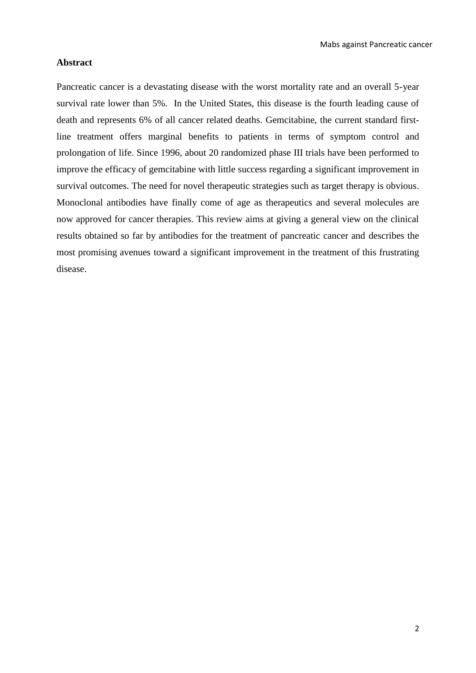#### **Abstract**

Pancreatic cancer is a devastating disease with the worst mortality rate and an overall 5-year survival rate lower than 5%. In the United States, this disease is the fourth leading cause of death and represents 6% of all cancer related deaths. Gemcitabine, the current standard firstline treatment offers marginal benefits to patients in terms of symptom control and prolongation of life. Since 1996, about 20 randomized phase III trials have been performed to improve the efficacy of gemcitabine with little success regarding a significant improvement in survival outcomes. The need for novel therapeutic strategies such as target therapy is obvious. Monoclonal antibodies have finally come of age as therapeutics and several molecules are now approved for cancer therapies. This review aims at giving a general view on the clinical results obtained so far by antibodies for the treatment of pancreatic cancer and describes the most promising avenues toward a significant improvement in the treatment of this frustrating disease.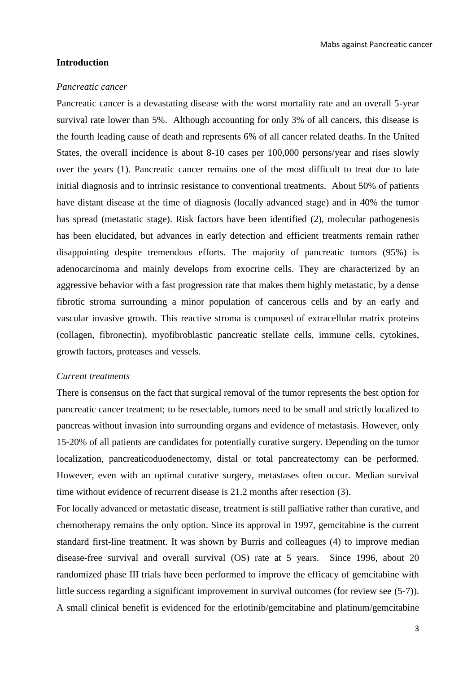#### **Introduction**

#### *Pancreatic cancer*

Pancreatic cancer is a devastating disease with the worst mortality rate and an overall 5-year survival rate lower than 5%. Although accounting for only 3% of all cancers, this disease is the fourth leading cause of death and represents 6% of all cancer related deaths. In the United States, the overall incidence is about 8-10 cases per 100,000 persons/year and rises slowly over the years (1). Pancreatic cancer remains one of the most difficult to treat due to late initial diagnosis and to intrinsic resistance to conventional treatments. About 50% of patients have distant disease at the time of diagnosis (locally advanced stage) and in 40% the tumor has spread (metastatic stage). Risk factors have been identified (2), molecular pathogenesis has been elucidated, but advances in early detection and efficient treatments remain rather disappointing despite tremendous efforts. The majority of pancreatic tumors (95%) is adenocarcinoma and mainly develops from exocrine cells. They are characterized by an aggressive behavior with a fast progression rate that makes them highly metastatic, by a dense fibrotic stroma surrounding a minor population of cancerous cells and by an early and vascular invasive growth. This reactive stroma is composed of extracellular matrix proteins (collagen, fibronectin), myofibroblastic pancreatic stellate cells, immune cells, cytokines, growth factors, proteases and vessels.

#### *Current treatments*

There is consensus on the fact that surgical removal of the tumor represents the best option for pancreatic cancer treatment; to be resectable, tumors need to be small and strictly localized to pancreas without invasion into surrounding organs and evidence of metastasis. However, only 15-20% of all patients are candidates for potentially curative surgery. Depending on the tumor localization, pancreaticoduodenectomy, distal or total pancreatectomy can be performed. However, even with an optimal curative surgery, metastases often occur. Median survival time without evidence of recurrent disease is 21.2 months after resection (3).

For locally advanced or metastatic disease, treatment is still palliative rather than curative, and chemotherapy remains the only option. Since its approval in 1997, gemcitabine is the current standard first-line treatment. It was shown by Burris and colleagues (4) to improve median disease-free survival and overall survival (OS) rate at 5 years. Since 1996, about 20 randomized phase III trials have been performed to improve the efficacy of gemcitabine with little success regarding a significant improvement in survival outcomes (for review see (5-7)). A small clinical benefit is evidenced for the erlotinib/gemcitabine and platinum/gemcitabine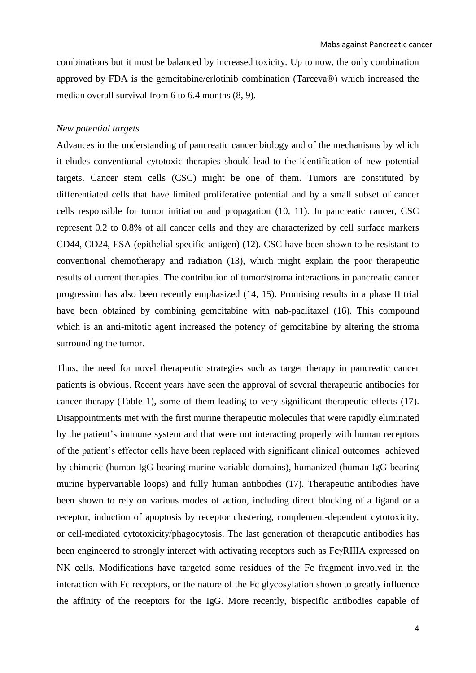combinations but it must be balanced by increased toxicity. Up to now, the only combination approved by FDA is the gemcitabine/erlotinib combination (Tarceva®) which increased the median overall survival from 6 to 6.4 months (8, 9).

#### *New potential targets*

Advances in the understanding of pancreatic cancer biology and of the mechanisms by which it eludes conventional cytotoxic therapies should lead to the identification of new potential targets. Cancer stem cells (CSC) might be one of them. Tumors are constituted by differentiated cells that have limited proliferative potential and by a small subset of cancer cells responsible for tumor initiation and propagation (10, 11). In pancreatic cancer, CSC represent 0.2 to 0.8% of all cancer cells and they are characterized by cell surface markers CD44, CD24, ESA (epithelial specific antigen) (12). CSC have been shown to be resistant to conventional chemotherapy and radiation (13), which might explain the poor therapeutic results of current therapies. The contribution of tumor/stroma interactions in pancreatic cancer progression has also been recently emphasized (14, 15). Promising results in a phase II trial have been obtained by combining gemcitabine with nab-paclitaxel (16). This compound which is an anti-mitotic agent increased the potency of gemcitabine by altering the stroma surrounding the tumor.

Thus, the need for novel therapeutic strategies such as target therapy in pancreatic cancer patients is obvious. Recent years have seen the approval of several therapeutic antibodies for cancer therapy (Table 1), some of them leading to very significant therapeutic effects (17). Disappointments met with the first murine therapeutic molecules that were rapidly eliminated by the patient's immune system and that were not interacting properly with human receptors of the patient's effector cells have been replaced with significant clinical outcomes achieved by chimeric (human IgG bearing murine variable domains), humanized (human IgG bearing murine hypervariable loops) and fully human antibodies (17). Therapeutic antibodies have been shown to rely on various modes of action, including direct blocking of a ligand or a receptor, induction of apoptosis by receptor clustering, complement-dependent cytotoxicity, or cell-mediated cytotoxicity/phagocytosis. The last generation of therapeutic antibodies has been engineered to strongly interact with activating receptors such as Fc $\gamma$ RIIIA expressed on NK cells. Modifications have targeted some residues of the Fc fragment involved in the interaction with Fc receptors, or the nature of the Fc glycosylation shown to greatly influence the affinity of the receptors for the IgG. More recently, bispecific antibodies capable of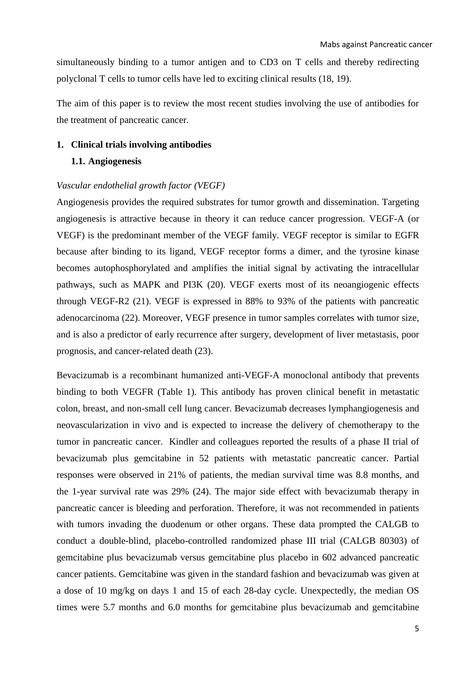simultaneously binding to a tumor antigen and to CD3 on T cells and thereby redirecting polyclonal T cells to tumor cells have led to exciting clinical results (18, 19).

The aim of this paper is to review the most recent studies involving the use of antibodies for the treatment of pancreatic cancer.

### **1. Clinical trials involving antibodies**

#### **1.1. Angiogenesis**

#### *Vascular endothelial growth factor (VEGF)*

Angiogenesis provides the required substrates for tumor growth and dissemination. Targeting angiogenesis is attractive because in theory it can reduce cancer progression. VEGF-A (or VEGF) is the predominant member of the VEGF family. VEGF receptor is similar to EGFR because after binding to its ligand, VEGF receptor forms a dimer, and the tyrosine kinase becomes autophosphorylated and amplifies the initial signal by activating the intracellular pathways, such as MAPK and PI3K (20). VEGF exerts most of its neoangiogenic effects through VEGF-R2 (21). VEGF is expressed in 88% to 93% of the patients with pancreatic adenocarcinoma (22). Moreover, VEGF presence in tumor samples correlates with tumor size, and is also a predictor of early recurrence after surgery, development of liver metastasis, poor prognosis, and cancer-related death (23).

Bevacizumab is a recombinant humanized anti-VEGF-A monoclonal antibody that prevents binding to both VEGFR (Table 1). This antibody has proven clinical benefit in metastatic colon, breast, and non-small cell lung cancer. Bevacizumab decreases lymphangiogenesis and neovascularization in vivo and is expected to increase the delivery of chemotherapy to the tumor in pancreatic cancer. Kindler and colleagues reported the results of a phase II trial of bevacizumab plus gemcitabine in 52 patients with metastatic pancreatic cancer. Partial responses were observed in 21% of patients, the median survival time was 8.8 months, and the 1-year survival rate was 29% (24). The major side effect with bevacizumab therapy in pancreatic cancer is bleeding and perforation. Therefore, it was not recommended in patients with tumors invading the duodenum or other organs. These data prompted the CALGB to conduct a double-blind, placebo-controlled randomized phase III trial (CALGB 80303) of gemcitabine plus bevacizumab versus gemcitabine plus placebo in 602 advanced pancreatic cancer patients. Gemcitabine was given in the standard fashion and bevacizumab was given at a dose of 10 mg/kg on days 1 and 15 of each 28-day cycle. Unexpectedly, the median OS times were 5.7 months and 6.0 months for gemcitabine plus bevacizumab and gemcitabine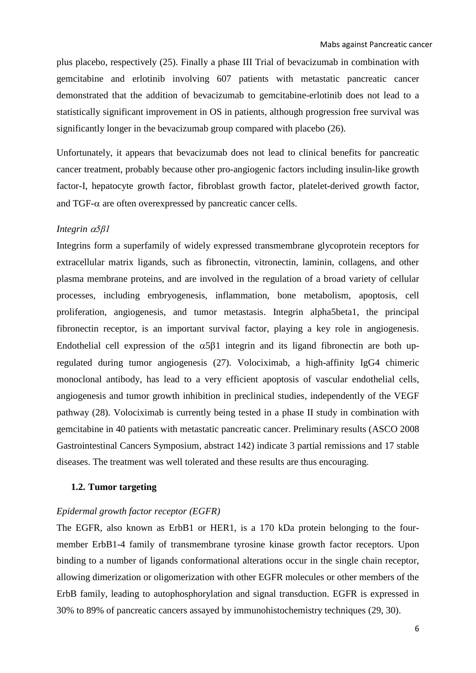plus placebo, respectively (25). Finally a phase III Trial of bevacizumab in combination with gemcitabine and erlotinib involving 607 patients with metastatic pancreatic cancer demonstrated that the addition of bevacizumab to gemcitabine-erlotinib does not lead to a statistically significant improvement in OS in patients, although progression free survival was significantly longer in the bevacizumab group compared with placebo (26).

Unfortunately, it appears that bevacizumab does not lead to clinical benefits for pancreatic cancer treatment, probably because other pro-angiogenic factors including insulin-like growth factor-I, hepatocyte growth factor, fibroblast growth factor, platelet-derived growth factor, and TGF- $\alpha$  are often overexpressed by pancreatic cancer cells.

#### *Integrin 5β1*

Integrins form a superfamily of widely expressed transmembrane glycoprotein receptors for extracellular matrix ligands, such as fibronectin, vitronectin, laminin, collagens, and other plasma membrane proteins, and are involved in the regulation of a broad variety of cellular processes, including embryogenesis, inflammation, bone metabolism, apoptosis, cell proliferation, angiogenesis, and tumor metastasis. Integrin alpha5beta1, the principal fibronectin receptor, is an important survival factor, playing a key role in angiogenesis. Endothelial cell expression of the  $\alpha$ 5 $\beta$ 1 integrin and its ligand fibronectin are both upregulated during tumor angiogenesis (27). Volociximab, a high-affinity IgG4 chimeric monoclonal antibody, has lead to a very efficient apoptosis of vascular endothelial cells, angiogenesis and tumor growth inhibition in preclinical studies, independently of the VEGF pathway (28). Volociximab is currently being tested in a phase II study in combination with gemcitabine in 40 patients with metastatic pancreatic cancer. Preliminary results (ASCO 2008 Gastrointestinal Cancers Symposium, abstract 142) indicate 3 partial remissions and 17 stable diseases. The treatment was well tolerated and these results are thus encouraging.

#### **1.2. Tumor targeting**

#### *Epidermal growth factor receptor (EGFR)*

The EGFR, also known as ErbB1 or HER1, is a 170 kDa protein belonging to the fourmember ErbB1-4 family of transmembrane tyrosine kinase growth factor receptors. Upon binding to a number of ligands conformational alterations occur in the single chain receptor, allowing dimerization or oligomerization with other EGFR molecules or other members of the ErbB family, leading to autophosphorylation and signal transduction. EGFR is expressed in 30% to 89% of pancreatic cancers assayed by immunohistochemistry techniques (29, 30).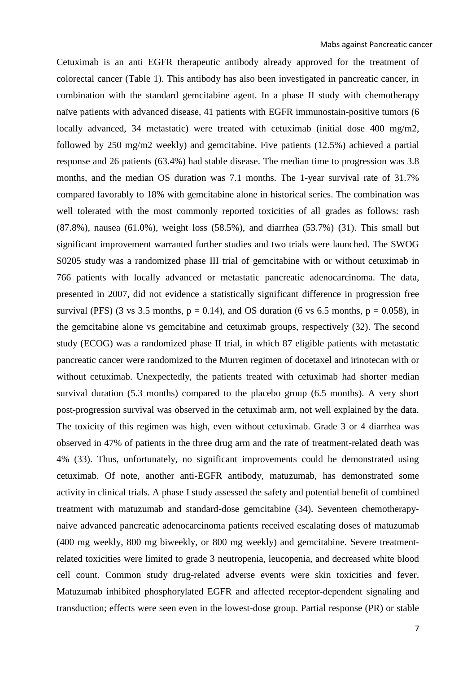Cetuximab is an anti EGFR therapeutic antibody already approved for the treatment of colorectal cancer (Table 1). This antibody has also been investigated in pancreatic cancer, in combination with the standard gemcitabine agent. In a phase II study with chemotherapy naïve patients with advanced disease, 41 patients with EGFR immunostain-positive tumors (6 locally advanced, 34 metastatic) were treated with cetuximab (initial dose 400 mg/m2, followed by 250 mg/m2 weekly) and gemcitabine. Five patients (12.5%) achieved a partial response and 26 patients (63.4%) had stable disease. The median time to progression was 3.8 months, and the median OS duration was 7.1 months. The 1-year survival rate of 31.7% compared favorably to 18% with gemcitabine alone in historical series. The combination was well tolerated with the most commonly reported toxicities of all grades as follows: rash (87.8%), nausea (61.0%), weight loss (58.5%), and diarrhea (53.7%) (31). This small but significant improvement warranted further studies and two trials were launched. The SWOG S0205 study was a randomized phase III trial of gemcitabine with or without cetuximab in 766 patients with locally advanced or metastatic pancreatic adenocarcinoma. The data, presented in 2007, did not evidence a statistically significant difference in progression free survival (PFS) (3 vs 3.5 months,  $p = 0.14$ ), and OS duration (6 vs 6.5 months,  $p = 0.058$ ), in the gemcitabine alone vs gemcitabine and cetuximab groups, respectively (32). The second study (ECOG) was a randomized phase II trial, in which 87 eligible patients with metastatic pancreatic cancer were randomized to the Murren regimen of docetaxel and irinotecan with or without cetuximab. Unexpectedly, the patients treated with cetuximab had shorter median survival duration (5.3 months) compared to the placebo group (6.5 months). A very short post-progression survival was observed in the cetuximab arm, not well explained by the data. The toxicity of this regimen was high, even without cetuximab. Grade 3 or 4 diarrhea was observed in 47% of patients in the three drug arm and the rate of treatment-related death was 4% (33). Thus, unfortunately, no significant improvements could be demonstrated using cetuximab. Of note, another anti-EGFR antibody, matuzumab, has demonstrated some activity in clinical trials. A phase I study assessed the safety and potential benefit of combined treatment with matuzumab and standard-dose gemcitabine (34). Seventeen chemotherapynaive advanced pancreatic adenocarcinoma patients received escalating doses of matuzumab (400 mg weekly, 800 mg biweekly, or 800 mg weekly) and gemcitabine. Severe treatmentrelated toxicities were limited to grade 3 neutropenia, leucopenia, and decreased white blood cell count. Common study drug-related adverse events were skin toxicities and fever. Matuzumab inhibited phosphorylated EGFR and affected receptor-dependent signaling and transduction; effects were seen even in the lowest-dose group. Partial response (PR) or stable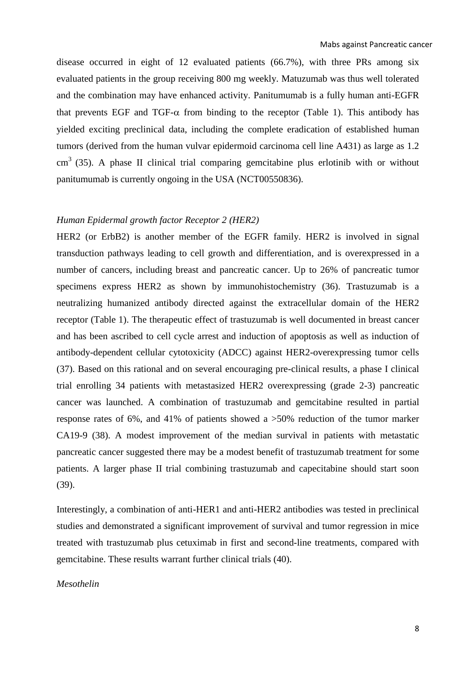disease occurred in eight of 12 evaluated patients (66.7%), with three PRs among six evaluated patients in the group receiving 800 mg weekly. Matuzumab was thus well tolerated and the combination may have enhanced activity. Panitumumab is a fully human anti-EGFR that prevents EGF and TGF- $\alpha$  from binding to the receptor (Table 1). This antibody has yielded exciting preclinical data, including the complete eradication of established human tumors (derived from the human vulvar epidermoid carcinoma cell line A431) as large as 1.2  $\text{cm}^3$  (35). A phase II clinical trial comparing gemcitabine plus erlotinib with or without panitumumab is currently ongoing in the USA (NCT00550836).

#### *Human Epidermal growth factor Receptor 2 (HER2)*

HER2 (or ErbB2) is another member of the EGFR family. HER2 is involved in signal transduction pathways leading to cell growth and differentiation, and is overexpressed in a number of cancers, including breast and pancreatic cancer. Up to 26% of pancreatic tumor specimens express HER2 as shown by immunohistochemistry (36). Trastuzumab is a neutralizing humanized antibody directed against the extracellular domain of the HER2 receptor (Table 1). The therapeutic effect of trastuzumab is well documented in breast cancer and has been ascribed to cell cycle arrest and induction of apoptosis as well as induction of antibody-dependent cellular cytotoxicity (ADCC) against HER2-overexpressing tumor cells (37). Based on this rational and on several encouraging pre-clinical results, a phase I clinical trial enrolling 34 patients with metastasized HER2 overexpressing (grade 2-3) pancreatic cancer was launched. A combination of trastuzumab and gemcitabine resulted in partial response rates of 6%, and 41% of patients showed a >50% reduction of the tumor marker CA19-9 (38). A modest improvement of the median survival in patients with metastatic pancreatic cancer suggested there may be a modest benefit of trastuzumab treatment for some patients. A larger phase II trial combining trastuzumab and capecitabine should start soon (39).

Interestingly, a combination of anti-HER1 and anti-HER2 antibodies was tested in preclinical studies and demonstrated a significant improvement of survival and tumor regression in mice treated with trastuzumab plus cetuximab in first and second-line treatments, compared with gemcitabine. These results warrant further clinical trials (40).

*Mesothelin*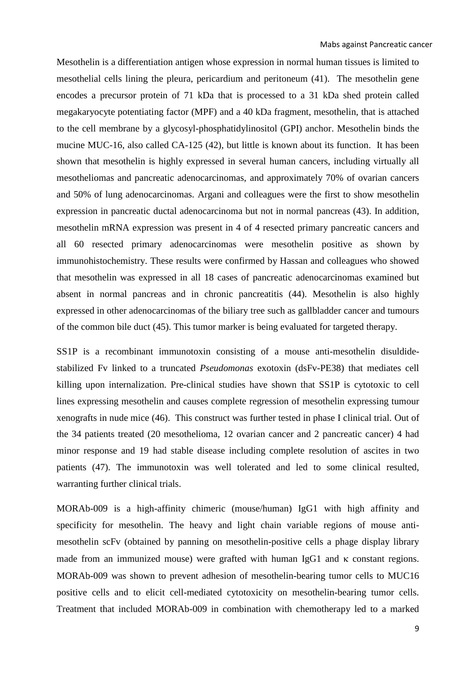Mesothelin is a differentiation antigen whose expression in normal human tissues is limited to mesothelial cells lining the pleura, pericardium and peritoneum (41). The mesothelin gene encodes a precursor protein of 71 kDa that is processed to a 31 kDa shed protein called megakaryocyte potentiating factor (MPF) and a 40 kDa fragment, mesothelin, that is attached to the cell membrane by a glycosyl-phosphatidylinositol (GPI) anchor. Mesothelin binds the mucine MUC-16, also called CA-125 (42), but little is known about its function. It has been shown that mesothelin is highly expressed in several human cancers, including virtually all mesotheliomas and pancreatic adenocarcinomas, and approximately 70% of ovarian cancers and 50% of lung adenocarcinomas. Argani and colleagues were the first to show mesothelin expression in pancreatic ductal adenocarcinoma but not in normal pancreas (43). In addition, mesothelin mRNA expression was present in 4 of 4 resected primary pancreatic cancers and all 60 resected primary adenocarcinomas were mesothelin positive as shown by immunohistochemistry. These results were confirmed by Hassan and colleagues who showed that mesothelin was expressed in all 18 cases of pancreatic adenocarcinomas examined but absent in normal pancreas and in chronic pancreatitis (44). Mesothelin is also highly expressed in other adenocarcinomas of the biliary tree such as gallbladder cancer and tumours of the common bile duct (45). This tumor marker is being evaluated for targeted therapy.

SS1P is a recombinant immunotoxin consisting of a mouse anti-mesothelin disuldidestabilized Fv linked to a truncated *Pseudomonas* exotoxin (dsFv-PE38) that mediates cell killing upon internalization. Pre-clinical studies have shown that SS1P is cytotoxic to cell lines expressing mesothelin and causes complete regression of mesothelin expressing tumour xenografts in nude mice (46). This construct was further tested in phase I clinical trial. Out of the 34 patients treated (20 mesothelioma, 12 ovarian cancer and 2 pancreatic cancer) 4 had minor response and 19 had stable disease including complete resolution of ascites in two patients (47). The immunotoxin was well tolerated and led to some clinical resulted, warranting further clinical trials.

MORAb-009 is a high-affinity chimeric (mouse/human) IgG1 with high affinity and specificity for mesothelin. The heavy and light chain variable regions of mouse antimesothelin scFv (obtained by panning on mesothelin-positive cells a phage display library made from an immunized mouse) were grafted with human IgG1 and  $\kappa$  constant regions. MORAb-009 was shown to prevent adhesion of mesothelin-bearing tumor cells to MUC16 positive cells and to elicit cell-mediated cytotoxicity on mesothelin-bearing tumor cells. Treatment that included MORAb-009 in combination with chemotherapy led to a marked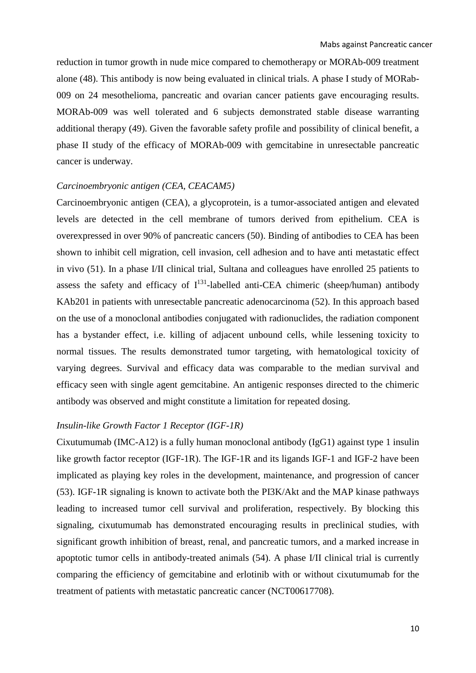reduction in tumor growth in nude mice compared to chemotherapy or MORAb-009 treatment alone (48). This antibody is now being evaluated in clinical trials. A phase I study of MORab-009 on 24 mesothelioma, pancreatic and ovarian cancer patients gave encouraging results. MORAb-009 was well tolerated and 6 subjects demonstrated stable disease warranting additional therapy (49). Given the favorable safety profile and possibility of clinical benefit, a phase II study of the efficacy of MORAb-009 with gemcitabine in unresectable pancreatic cancer is underway.

#### *Carcinoembryonic antigen (CEA, CEACAM5)*

Carcinoembryonic antigen (CEA), a glycoprotein, is a tumor-associated antigen and elevated levels are detected in the cell membrane of tumors derived from epithelium. CEA is overexpressed in over 90% of pancreatic cancers (50). Binding of antibodies to CEA has been shown to inhibit cell migration, cell invasion, cell adhesion and to have anti metastatic effect in vivo (51). In a phase I/II clinical trial, Sultana and colleagues have enrolled 25 patients to assess the safety and efficacy of  $I^{131}$ -labelled anti-CEA chimeric (sheep/human) antibody KAb201 in patients with unresectable pancreatic adenocarcinoma (52). In this approach based on the use of a monoclonal antibodies conjugated with radionuclides, the radiation component has a bystander effect, i.e. killing of adjacent unbound cells, while lessening toxicity to normal tissues. The results demonstrated tumor targeting, with hematological toxicity of varying degrees. Survival and efficacy data was comparable to the median survival and efficacy seen with single agent gemcitabine. An antigenic responses directed to the chimeric antibody was observed and might constitute a limitation for repeated dosing.

#### *Insulin-like Growth Factor 1 Receptor (IGF-1R)*

Cixutumumab (IMC-A12) is a fully human monoclonal antibody (IgG1) against type 1 insulin like growth factor receptor (IGF-1R). The IGF-1R and its ligands IGF-1 and IGF-2 have been implicated as playing key roles in the development, maintenance, and progression of cancer (53). IGF-1R signaling is known to activate both the PI3K/Akt and the MAP kinase pathways leading to increased tumor cell survival and proliferation, respectively. By blocking this signaling, cixutumumab has demonstrated encouraging results in preclinical studies, with significant growth inhibition of breast, renal, and pancreatic tumors, and a marked increase in apoptotic tumor cells in antibody-treated animals (54). A phase I/II clinical trial is currently comparing the efficiency of gemcitabine and erlotinib with or without cixutumumab for the treatment of patients with metastatic pancreatic cancer (NCT00617708).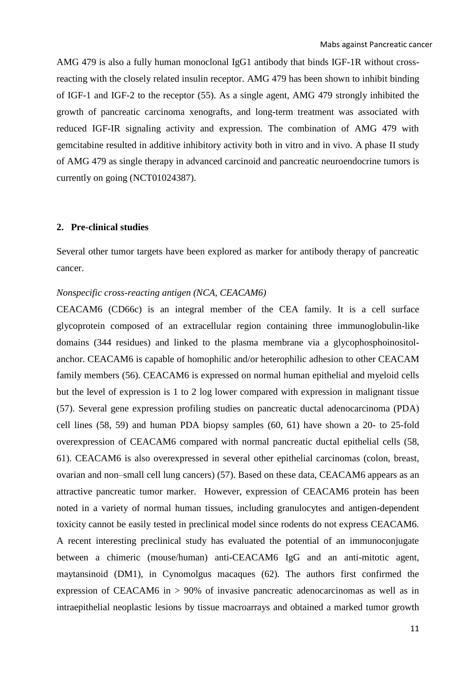AMG 479 is also a fully human monoclonal IgG1 antibody that binds IGF-1R without crossreacting with the closely related insulin receptor. AMG 479 has been shown to inhibit binding of IGF-1 and IGF-2 to the receptor (55). As a single agent, AMG 479 strongly inhibited the growth of pancreatic carcinoma xenografts, and long-term treatment was associated with reduced IGF-IR signaling activity and expression. The combination of AMG 479 with gemcitabine resulted in additive inhibitory activity both in vitro and in vivo. A phase II study of AMG 479 as single therapy in advanced carcinoid and pancreatic neuroendocrine tumors is currently on going (NCT01024387).

#### **2. Pre-clinical studies**

Several other tumor targets have been explored as marker for antibody therapy of pancreatic cancer.

#### *Nonspecific cross-reacting antigen (NCA, CEACAM6)*

CEACAM6 (CD66c) is an integral member of the CEA family. It is a cell surface glycoprotein composed of an extracellular region containing three immunoglobulin-like domains (344 residues) and linked to the plasma membrane via a glycophosphoinositolanchor. CEACAM6 is capable of homophilic and/or heterophilic adhesion to other CEACAM family members (56). CEACAM6 is expressed on normal human epithelial and myeloid cells but the level of expression is 1 to 2 log lower compared with expression in malignant tissue (57). Several gene expression profiling studies on pancreatic ductal adenocarcinoma (PDA) cell lines (58, 59) and human PDA biopsy samples (60, 61) have shown a 20- to 25-fold overexpression of CEACAM6 compared with normal pancreatic ductal epithelial cells (58, 61). CEACAM6 is also overexpressed in several other epithelial carcinomas (colon, breast, ovarian and non–small cell lung cancers) (57). Based on these data, CEACAM6 appears as an attractive pancreatic tumor marker. However, expression of CEACAM6 protein has been noted in a variety of normal human tissues, including granulocytes and antigen-dependent toxicity cannot be easily tested in preclinical model since rodents do not express CEACAM6. A recent interesting preclinical study has evaluated the potential of an immunoconjugate between a chimeric (mouse/human) anti-CEACAM6 IgG and an anti-mitotic agent, maytansinoid (DM1), in Cynomolgus macaques (62). The authors first confirmed the expression of CEACAM6 in > 90% of invasive pancreatic adenocarcinomas as well as in intraepithelial neoplastic lesions by tissue macroarrays and obtained a marked tumor growth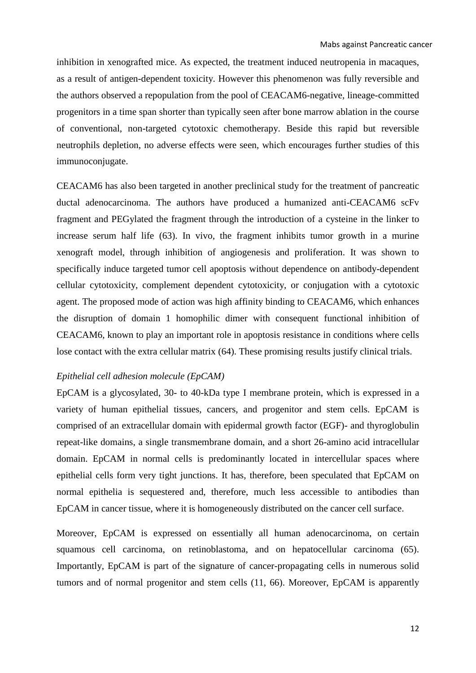inhibition in xenografted mice. As expected, the treatment induced neutropenia in macaques, as a result of antigen-dependent toxicity. However this phenomenon was fully reversible and the authors observed a repopulation from the pool of CEACAM6-negative, lineage-committed progenitors in a time span shorter than typically seen after bone marrow ablation in the course of conventional, non-targeted cytotoxic chemotherapy. Beside this rapid but reversible neutrophils depletion, no adverse effects were seen, which encourages further studies of this immunoconjugate.

CEACAM6 has also been targeted in another preclinical study for the treatment of pancreatic ductal adenocarcinoma. The authors have produced a humanized anti-CEACAM6 scFv fragment and PEGylated the fragment through the introduction of a cysteine in the linker to increase serum half life (63). In vivo, the fragment inhibits tumor growth in a murine xenograft model, through inhibition of angiogenesis and proliferation. It was shown to specifically induce targeted tumor cell apoptosis without dependence on antibody-dependent cellular cytotoxicity, complement dependent cytotoxicity, or conjugation with a cytotoxic agent. The proposed mode of action was high affinity binding to CEACAM6, which enhances the disruption of domain 1 homophilic dimer with consequent functional inhibition of CEACAM6, known to play an important role in apoptosis resistance in conditions where cells lose contact with the extra cellular matrix (64). These promising results justify clinical trials.

#### *Epithelial cell adhesion molecule (EpCAM)*

EpCAM is a glycosylated, 30- to 40-kDa type I membrane protein, which is expressed in a variety of human epithelial tissues, cancers, and progenitor and stem cells. EpCAM is comprised of an extracellular domain with epidermal growth factor (EGF)- and thyroglobulin repeat-like domains, a single transmembrane domain, and a short 26-amino acid intracellular domain. EpCAM in normal cells is predominantly located in intercellular spaces where epithelial cells form very tight junctions. It has, therefore, been speculated that EpCAM on normal epithelia is sequestered and, therefore, much less accessible to antibodies than EpCAM in cancer tissue, where it is homogeneously distributed on the cancer cell surface.

Moreover, EpCAM is expressed on essentially all human adenocarcinoma, on certain squamous cell carcinoma, on retinoblastoma, and on hepatocellular carcinoma (65). Importantly, EpCAM is part of the signature of cancer-propagating cells in numerous solid tumors and of normal progenitor and stem cells (11, 66). Moreover, EpCAM is apparently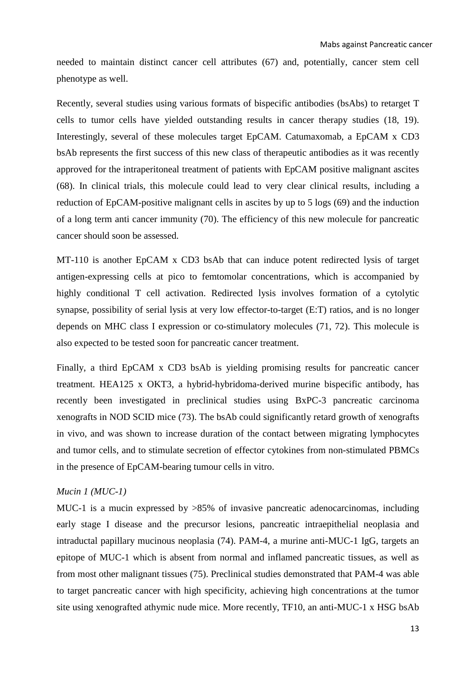needed to maintain distinct cancer cell attributes (67) and, potentially, cancer stem cell phenotype as well.

Recently, several studies using various formats of bispecific antibodies (bsAbs) to retarget T cells to tumor cells have yielded outstanding results in cancer therapy studies (18, 19). Interestingly, several of these molecules target EpCAM. Catumaxomab, a EpCAM x CD3 bsAb represents the first success of this new class of therapeutic antibodies as it was recently approved for the intraperitoneal treatment of patients with EpCAM positive malignant ascites (68). In clinical trials, this molecule could lead to very clear clinical results, including a reduction of EpCAM-positive malignant cells in ascites by up to 5 logs (69) and the induction of a long term anti cancer immunity (70). The efficiency of this new molecule for pancreatic cancer should soon be assessed.

MT-110 is another EpCAM x CD3 bsAb that can induce potent redirected lysis of target antigen-expressing cells at pico to femtomolar concentrations, which is accompanied by highly conditional T cell activation. Redirected lysis involves formation of a cytolytic synapse, possibility of serial lysis at very low effector-to-target (E:T) ratios, and is no longer depends on MHC class I expression or co-stimulatory molecules (71, 72). This molecule is also expected to be tested soon for pancreatic cancer treatment.

Finally, a third EpCAM x CD3 bsAb is yielding promising results for pancreatic cancer treatment. HEA125 x OKT3, a hybrid-hybridoma-derived murine bispecific antibody, has recently been investigated in preclinical studies using BxPC-3 pancreatic carcinoma xenografts in NOD SCID mice (73). The bsAb could significantly retard growth of xenografts in vivo, and was shown to increase duration of the contact between migrating lymphocytes and tumor cells, and to stimulate secretion of effector cytokines from non-stimulated PBMCs in the presence of EpCAM-bearing tumour cells in vitro.

#### *Mucin 1 (MUC-1)*

MUC-1 is a mucin expressed by >85% of invasive pancreatic adenocarcinomas, including early stage I disease and the precursor lesions, pancreatic intraepithelial neoplasia and intraductal papillary mucinous neoplasia (74). PAM-4, a murine anti-MUC-1 IgG, targets an epitope of MUC-1 which is absent from normal and inflamed pancreatic tissues, as well as from most other malignant tissues (75). Preclinical studies demonstrated that PAM-4 was able to target pancreatic cancer with high specificity, achieving high concentrations at the tumor site using xenografted athymic nude mice. More recently, TF10, an anti-MUC-1 x HSG bsAb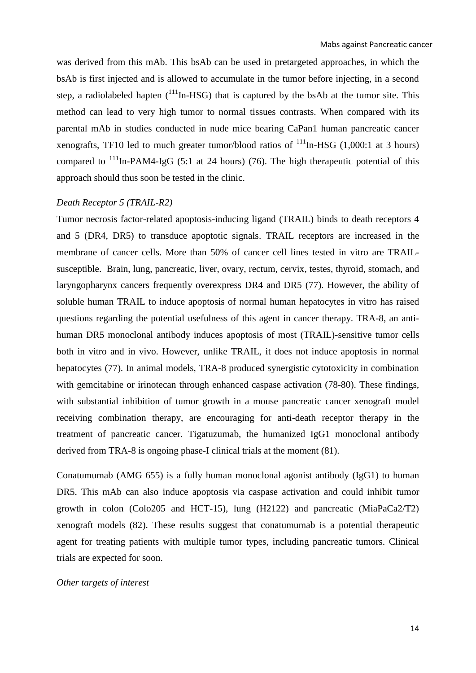was derived from this mAb. This bsAb can be used in pretargeted approaches, in which the bsAb is first injected and is allowed to accumulate in the tumor before injecting, in a second step, a radiolabeled hapten  $\binom{111}{11}$  In-HSG) that is captured by the bsAb at the tumor site. This method can lead to very high tumor to normal tissues contrasts. When compared with its parental mAb in studies conducted in nude mice bearing CaPan1 human pancreatic cancer xenografts, TF10 led to much greater tumor/blood ratios of  $^{111}$ In-HSG (1,000:1 at 3 hours) compared to  $^{111}$ In-PAM4-IgG (5:1 at 24 hours) (76). The high therapeutic potential of this approach should thus soon be tested in the clinic.

#### *Death Receptor 5 (TRAIL-R2)*

Tumor necrosis factor-related apoptosis-inducing ligand (TRAIL) binds to death receptors 4 and 5 (DR4, DR5) to transduce apoptotic signals. TRAIL receptors are increased in the membrane of cancer cells. More than 50% of cancer cell lines tested in vitro are TRAILsusceptible. Brain, lung, pancreatic, liver, ovary, rectum, cervix, testes, thyroid, stomach, and laryngopharynx cancers frequently overexpress DR4 and DR5 (77). However, the ability of soluble human TRAIL to induce apoptosis of normal human hepatocytes in vitro has raised questions regarding the potential usefulness of this agent in cancer therapy. TRA-8, an antihuman DR5 monoclonal antibody induces apoptosis of most (TRAIL)-sensitive tumor cells both in vitro and in vivo. However, unlike TRAIL, it does not induce apoptosis in normal hepatocytes (77). In animal models, TRA-8 produced synergistic cytotoxicity in combination with gemcitabine or irinotecan through enhanced caspase activation (78-80). These findings, with substantial inhibition of tumor growth in a mouse pancreatic cancer xenograft model receiving combination therapy, are encouraging for anti-death receptor therapy in the treatment of pancreatic cancer. Tigatuzumab, the humanized IgG1 monoclonal antibody derived from TRA-8 is ongoing phase-I clinical trials at the moment (81).

Conatumumab (AMG 655) is a fully human monoclonal agonist antibody (IgG1) to human DR5. This mAb can also induce apoptosis via caspase activation and could inhibit tumor growth in colon (Colo205 and HCT-15), lung (H2122) and pancreatic (MiaPaCa2/T2) xenograft models (82). These results suggest that conatumumab is a potential therapeutic agent for treating patients with multiple tumor types, including pancreatic tumors. Clinical trials are expected for soon.

#### *Other targets of interest*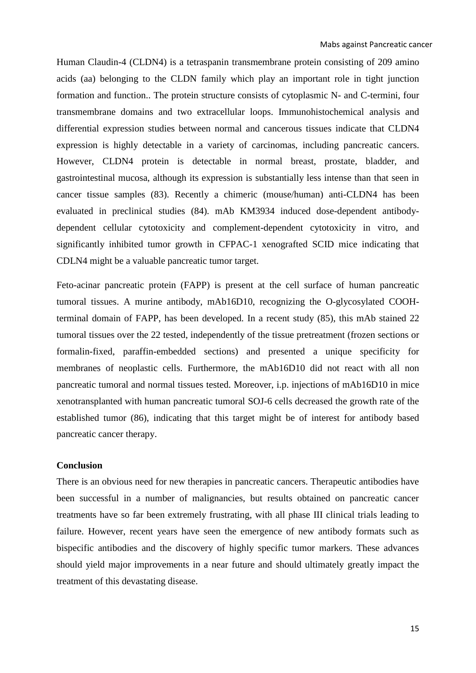Human Claudin-4 (CLDN4) is a tetraspanin transmembrane protein consisting of 209 amino acids (aa) belonging to the CLDN family which play an important role in tight junction formation and function.. The protein structure consists of cytoplasmic N- and C-termini, four transmembrane domains and two extracellular loops. Immunohistochemical analysis and differential expression studies between normal and cancerous tissues indicate that CLDN4 expression is highly detectable in a variety of carcinomas, including pancreatic cancers. However, CLDN4 protein is detectable in normal breast, prostate, bladder, and gastrointestinal mucosa, although its expression is substantially less intense than that seen in cancer tissue samples (83). Recently a chimeric (mouse/human) anti-CLDN4 has been evaluated in preclinical studies (84). mAb KM3934 induced dose-dependent antibodydependent cellular cytotoxicity and complement-dependent cytotoxicity in vitro, and significantly inhibited tumor growth in CFPAC-1 xenografted SCID mice indicating that CDLN4 might be a valuable pancreatic tumor target.

Feto-acinar pancreatic protein (FAPP) is present at the cell surface of human pancreatic tumoral tissues. A murine antibody, mAb16D10, recognizing the O-glycosylated COOHterminal domain of FAPP, has been developed. In a recent study (85), this mAb stained 22 tumoral tissues over the 22 tested, independently of the tissue pretreatment (frozen sections or formalin-fixed, paraffin-embedded sections) and presented a unique specificity for membranes of neoplastic cells. Furthermore, the mAb16D10 did not react with all non pancreatic tumoral and normal tissues tested. Moreover, i.p. injections of mAb16D10 in mice xenotransplanted with human pancreatic tumoral SOJ-6 cells decreased the growth rate of the established tumor (86), indicating that this target might be of interest for antibody based pancreatic cancer therapy.

#### **Conclusion**

There is an obvious need for new therapies in pancreatic cancers. Therapeutic antibodies have been successful in a number of malignancies, but results obtained on pancreatic cancer treatments have so far been extremely frustrating, with all phase III clinical trials leading to failure. However, recent years have seen the emergence of new antibody formats such as bispecific antibodies and the discovery of highly specific tumor markers. These advances should yield major improvements in a near future and should ultimately greatly impact the treatment of this devastating disease.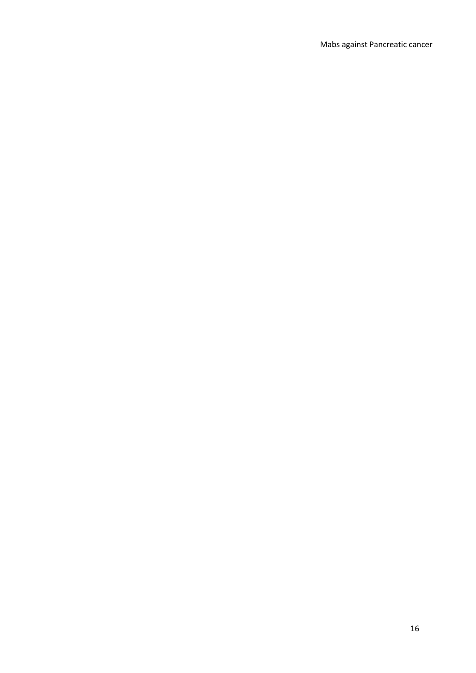Mabs against Pancreatic cancer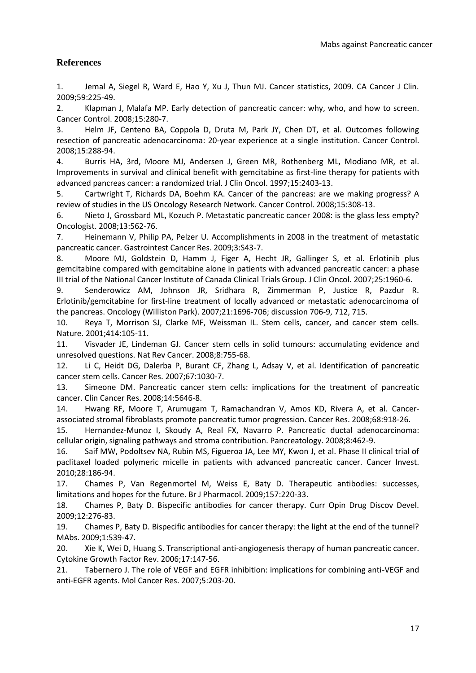## **References**

1. Jemal A, Siegel R, Ward E, Hao Y, Xu J, Thun MJ. Cancer statistics, 2009. CA Cancer J Clin. 2009;59:225-49.

2. Klapman J, Malafa MP. Early detection of pancreatic cancer: why, who, and how to screen. Cancer Control. 2008;15:280-7.

3. Helm JF, Centeno BA, Coppola D, Druta M, Park JY, Chen DT, et al. Outcomes following resection of pancreatic adenocarcinoma: 20-year experience at a single institution. Cancer Control. 2008;15:288-94.

4. Burris HA, 3rd, Moore MJ, Andersen J, Green MR, Rothenberg ML, Modiano MR, et al. Improvements in survival and clinical benefit with gemcitabine as first-line therapy for patients with advanced pancreas cancer: a randomized trial. J Clin Oncol. 1997;15:2403-13.

5. Cartwright T, Richards DA, Boehm KA. Cancer of the pancreas: are we making progress? A review of studies in the US Oncology Research Network. Cancer Control. 2008;15:308-13.

6. Nieto J, Grossbard ML, Kozuch P. Metastatic pancreatic cancer 2008: is the glass less empty? Oncologist. 2008;13:562-76.

7. Heinemann V, Philip PA, Pelzer U. Accomplishments in 2008 in the treatment of metastatic pancreatic cancer. Gastrointest Cancer Res. 2009;3:S43-7.

8. Moore MJ, Goldstein D, Hamm J, Figer A, Hecht JR, Gallinger S, et al. Erlotinib plus gemcitabine compared with gemcitabine alone in patients with advanced pancreatic cancer: a phase III trial of the National Cancer Institute of Canada Clinical Trials Group. J Clin Oncol. 2007;25:1960-6.

9. Senderowicz AM, Johnson JR, Sridhara R, Zimmerman P, Justice R, Pazdur R. Erlotinib/gemcitabine for first-line treatment of locally advanced or metastatic adenocarcinoma of the pancreas. Oncology (Williston Park). 2007;21:1696-706; discussion 706-9, 712, 715.

10. Reya T, Morrison SJ, Clarke MF, Weissman IL. Stem cells, cancer, and cancer stem cells. Nature. 2001;414:105-11.

11. Visvader JE, Lindeman GJ. Cancer stem cells in solid tumours: accumulating evidence and unresolved questions. Nat Rev Cancer. 2008;8:755-68.

12. Li C, Heidt DG, Dalerba P, Burant CF, Zhang L, Adsay V, et al. Identification of pancreatic cancer stem cells. Cancer Res. 2007;67:1030-7.

13. Simeone DM. Pancreatic cancer stem cells: implications for the treatment of pancreatic cancer. Clin Cancer Res. 2008;14:5646-8.

14. Hwang RF, Moore T, Arumugam T, Ramachandran V, Amos KD, Rivera A, et al. Cancerassociated stromal fibroblasts promote pancreatic tumor progression. Cancer Res. 2008;68:918-26.

15. Hernandez-Munoz I, Skoudy A, Real FX, Navarro P. Pancreatic ductal adenocarcinoma: cellular origin, signaling pathways and stroma contribution. Pancreatology. 2008;8:462-9.

16. Saif MW, Podoltsev NA, Rubin MS, Figueroa JA, Lee MY, Kwon J, et al. Phase II clinical trial of paclitaxel loaded polymeric micelle in patients with advanced pancreatic cancer. Cancer Invest. 2010;28:186-94.

17. Chames P, Van Regenmortel M, Weiss E, Baty D. Therapeutic antibodies: successes, limitations and hopes for the future. Br J Pharmacol. 2009;157:220-33.

18. Chames P, Baty D. Bispecific antibodies for cancer therapy. Curr Opin Drug Discov Devel. 2009;12:276-83.

19. Chames P, Baty D. Bispecific antibodies for cancer therapy: the light at the end of the tunnel? MAbs. 2009;1:539-47.

20. Xie K, Wei D, Huang S. Transcriptional anti-angiogenesis therapy of human pancreatic cancer. Cytokine Growth Factor Rev. 2006;17:147-56.

21. Tabernero J. The role of VEGF and EGFR inhibition: implications for combining anti-VEGF and anti-EGFR agents. Mol Cancer Res. 2007;5:203-20.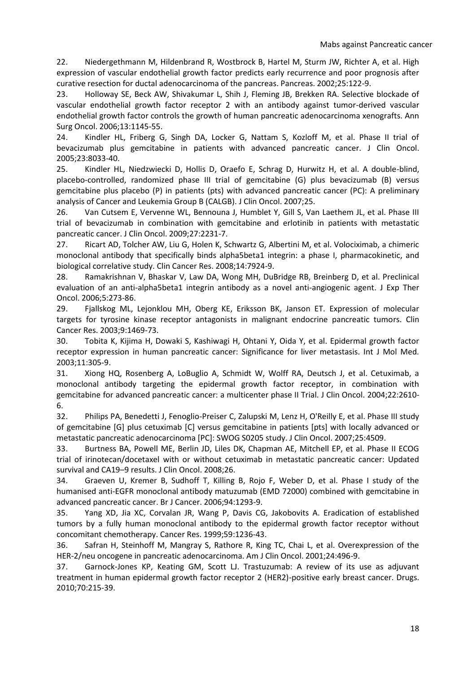22. Niedergethmann M, Hildenbrand R, Wostbrock B, Hartel M, Sturm JW, Richter A, et al. High expression of vascular endothelial growth factor predicts early recurrence and poor prognosis after curative resection for ductal adenocarcinoma of the pancreas. Pancreas. 2002;25:122-9.

23. Holloway SE, Beck AW, Shivakumar L, Shih J, Fleming JB, Brekken RA. Selective blockade of vascular endothelial growth factor receptor 2 with an antibody against tumor-derived vascular endothelial growth factor controls the growth of human pancreatic adenocarcinoma xenografts. Ann Surg Oncol. 2006;13:1145-55.

24. Kindler HL, Friberg G, Singh DA, Locker G, Nattam S, Kozloff M, et al. Phase II trial of bevacizumab plus gemcitabine in patients with advanced pancreatic cancer. J Clin Oncol. 2005;23:8033-40.

25. Kindler HL, Niedzwiecki D, Hollis D, Oraefo E, Schrag D, Hurwitz H, et al. A double-blind, placebo-controlled, randomized phase III trial of gemcitabine (G) plus bevacizumab (B) versus gemcitabine plus placebo (P) in patients (pts) with advanced pancreatic cancer (PC): A preliminary analysis of Cancer and Leukemia Group B (CALGB). J Clin Oncol. 2007;25.

26. Van Cutsem E, Vervenne WL, Bennouna J, Humblet Y, Gill S, Van Laethem JL, et al. Phase III trial of bevacizumab in combination with gemcitabine and erlotinib in patients with metastatic pancreatic cancer. J Clin Oncol. 2009;27:2231-7.

27. Ricart AD, Tolcher AW, Liu G, Holen K, Schwartz G, Albertini M, et al. Volociximab, a chimeric monoclonal antibody that specifically binds alpha5beta1 integrin: a phase I, pharmacokinetic, and biological correlative study. Clin Cancer Res. 2008;14:7924-9.

28. Ramakrishnan V, Bhaskar V, Law DA, Wong MH, DuBridge RB, Breinberg D, et al. Preclinical evaluation of an anti-alpha5beta1 integrin antibody as a novel anti-angiogenic agent. J Exp Ther Oncol. 2006;5:273-86.

29. Fjallskog ML, Lejonklou MH, Oberg KE, Eriksson BK, Janson ET. Expression of molecular targets for tyrosine kinase receptor antagonists in malignant endocrine pancreatic tumors. Clin Cancer Res. 2003;9:1469-73.

30. Tobita K, Kijima H, Dowaki S, Kashiwagi H, Ohtani Y, Oida Y, et al. Epidermal growth factor receptor expression in human pancreatic cancer: Significance for liver metastasis. Int J Mol Med. 2003;11:305-9.

31. Xiong HQ, Rosenberg A, LoBuglio A, Schmidt W, Wolff RA, Deutsch J, et al. Cetuximab, a monoclonal antibody targeting the epidermal growth factor receptor, in combination with gemcitabine for advanced pancreatic cancer: a multicenter phase II Trial. J Clin Oncol. 2004;22:2610- 6.

32. Philips PA, Benedetti J, Fenoglio-Preiser C, Zalupski M, Lenz H, O'Reilly E, et al. Phase III study of gemcitabine [G] plus cetuximab [C] versus gemcitabine in patients [pts] with locally advanced or metastatic pancreatic adenocarcinoma [PC]: SWOG S0205 study. J Clin Oncol. 2007;25:4509.

33. Burtness BA, Powell ME, Berlin JD, Liles DK, Chapman AE, Mitchell EP, et al. Phase II ECOG trial of irinotecan/docetaxel with or without cetuximab in metastatic pancreatic cancer: Updated survival and CA19–9 results. J Clin Oncol. 2008;26.

34. Graeven U, Kremer B, Sudhoff T, Killing B, Rojo F, Weber D, et al. Phase I study of the humanised anti-EGFR monoclonal antibody matuzumab (EMD 72000) combined with gemcitabine in advanced pancreatic cancer. Br J Cancer. 2006;94:1293-9.

35. Yang XD, Jia XC, Corvalan JR, Wang P, Davis CG, Jakobovits A. Eradication of established tumors by a fully human monoclonal antibody to the epidermal growth factor receptor without concomitant chemotherapy. Cancer Res. 1999;59:1236-43.

36. Safran H, Steinhoff M, Mangray S, Rathore R, King TC, Chai L, et al. Overexpression of the HER-2/neu oncogene in pancreatic adenocarcinoma. Am J Clin Oncol. 2001;24:496-9.

37. Garnock-Jones KP, Keating GM, Scott LJ. Trastuzumab: A review of its use as adjuvant treatment in human epidermal growth factor receptor 2 (HER2)-positive early breast cancer. Drugs. 2010;70:215-39.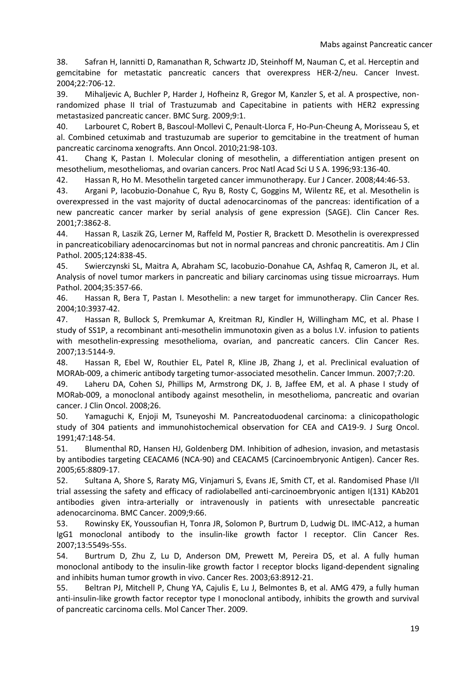38. Safran H, Iannitti D, Ramanathan R, Schwartz JD, Steinhoff M, Nauman C, et al. Herceptin and gemcitabine for metastatic pancreatic cancers that overexpress HER-2/neu. Cancer Invest. 2004;22:706-12.

39. Mihaljevic A, Buchler P, Harder J, Hofheinz R, Gregor M, Kanzler S, et al. A prospective, nonrandomized phase II trial of Trastuzumab and Capecitabine in patients with HER2 expressing metastasized pancreatic cancer. BMC Surg. 2009;9:1.

40. Larbouret C, Robert B, Bascoul-Mollevi C, Penault-Llorca F, Ho-Pun-Cheung A, Morisseau S, et al. Combined cetuximab and trastuzumab are superior to gemcitabine in the treatment of human pancreatic carcinoma xenografts. Ann Oncol. 2010;21:98-103.

41. Chang K, Pastan I. Molecular cloning of mesothelin, a differentiation antigen present on mesothelium, mesotheliomas, and ovarian cancers. Proc Natl Acad Sci U S A. 1996;93:136-40.

42. Hassan R, Ho M. Mesothelin targeted cancer immunotherapy. Eur J Cancer. 2008;44:46-53.

43. Argani P, Iacobuzio-Donahue C, Ryu B, Rosty C, Goggins M, Wilentz RE, et al. Mesothelin is overexpressed in the vast majority of ductal adenocarcinomas of the pancreas: identification of a new pancreatic cancer marker by serial analysis of gene expression (SAGE). Clin Cancer Res. 2001;7:3862-8.

44. Hassan R, Laszik ZG, Lerner M, Raffeld M, Postier R, Brackett D. Mesothelin is overexpressed in pancreaticobiliary adenocarcinomas but not in normal pancreas and chronic pancreatitis. Am J Clin Pathol. 2005;124:838-45.

45. Swierczynski SL, Maitra A, Abraham SC, Iacobuzio-Donahue CA, Ashfaq R, Cameron JL, et al. Analysis of novel tumor markers in pancreatic and biliary carcinomas using tissue microarrays. Hum Pathol. 2004;35:357-66.

46. Hassan R, Bera T, Pastan I. Mesothelin: a new target for immunotherapy. Clin Cancer Res. 2004;10:3937-42.

47. Hassan R, Bullock S, Premkumar A, Kreitman RJ, Kindler H, Willingham MC, et al. Phase I study of SS1P, a recombinant anti-mesothelin immunotoxin given as a bolus I.V. infusion to patients with mesothelin-expressing mesothelioma, ovarian, and pancreatic cancers. Clin Cancer Res. 2007;13:5144-9.

48. Hassan R, Ebel W, Routhier EL, Patel R, Kline JB, Zhang J, et al. Preclinical evaluation of MORAb-009, a chimeric antibody targeting tumor-associated mesothelin. Cancer Immun. 2007;7:20.

49. Laheru DA, Cohen SJ, Phillips M, Armstrong DK, J. B, Jaffee EM, et al. A phase I study of MORab-009, a monoclonal antibody against mesothelin, in mesothelioma, pancreatic and ovarian cancer. J Clin Oncol. 2008;26.

50. Yamaguchi K, Enjoji M, Tsuneyoshi M. Pancreatoduodenal carcinoma: a clinicopathologic study of 304 patients and immunohistochemical observation for CEA and CA19-9. J Surg Oncol. 1991;47:148-54.

51. Blumenthal RD, Hansen HJ, Goldenberg DM. Inhibition of adhesion, invasion, and metastasis by antibodies targeting CEACAM6 (NCA-90) and CEACAM5 (Carcinoembryonic Antigen). Cancer Res. 2005;65:8809-17.

52. Sultana A, Shore S, Raraty MG, Vinjamuri S, Evans JE, Smith CT, et al. Randomised Phase I/II trial assessing the safety and efficacy of radiolabelled anti-carcinoembryonic antigen I(131) KAb201 antibodies given intra-arterially or intravenously in patients with unresectable pancreatic adenocarcinoma. BMC Cancer. 2009;9:66.

53. Rowinsky EK, Youssoufian H, Tonra JR, Solomon P, Burtrum D, Ludwig DL. IMC-A12, a human IgG1 monoclonal antibody to the insulin-like growth factor I receptor. Clin Cancer Res. 2007;13:5549s-55s.

54. Burtrum D, Zhu Z, Lu D, Anderson DM, Prewett M, Pereira DS, et al. A fully human monoclonal antibody to the insulin-like growth factor I receptor blocks ligand-dependent signaling and inhibits human tumor growth in vivo. Cancer Res. 2003;63:8912-21.

55. Beltran PJ, Mitchell P, Chung YA, Cajulis E, Lu J, Belmontes B, et al. AMG 479, a fully human anti-insulin-like growth factor receptor type I monoclonal antibody, inhibits the growth and survival of pancreatic carcinoma cells. Mol Cancer Ther. 2009.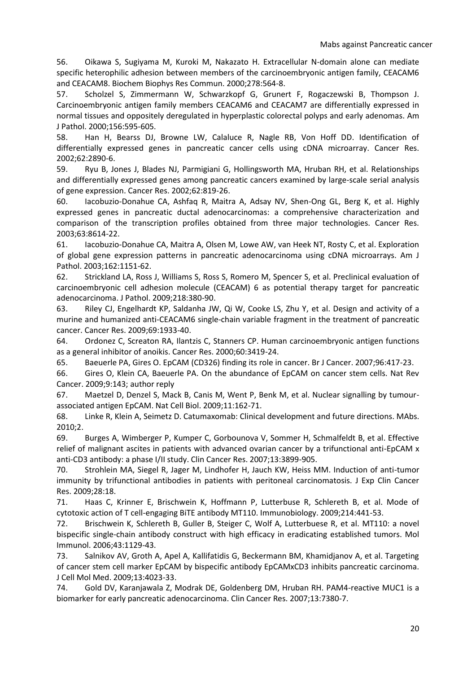56. Oikawa S, Sugiyama M, Kuroki M, Nakazato H. Extracellular N-domain alone can mediate specific heterophilic adhesion between members of the carcinoembryonic antigen family, CEACAM6 and CEACAM8. Biochem Biophys Res Commun. 2000;278:564-8.

57. Scholzel S, Zimmermann W, Schwarzkopf G, Grunert F, Rogaczewski B, Thompson J. Carcinoembryonic antigen family members CEACAM6 and CEACAM7 are differentially expressed in normal tissues and oppositely deregulated in hyperplastic colorectal polyps and early adenomas. Am J Pathol. 2000;156:595-605.

58. Han H, Bearss DJ, Browne LW, Calaluce R, Nagle RB, Von Hoff DD. Identification of differentially expressed genes in pancreatic cancer cells using cDNA microarray. Cancer Res. 2002;62:2890-6.

59. Ryu B, Jones J, Blades NJ, Parmigiani G, Hollingsworth MA, Hruban RH, et al. Relationships and differentially expressed genes among pancreatic cancers examined by large-scale serial analysis of gene expression. Cancer Res. 2002;62:819-26.

60. Iacobuzio-Donahue CA, Ashfaq R, Maitra A, Adsay NV, Shen-Ong GL, Berg K, et al. Highly expressed genes in pancreatic ductal adenocarcinomas: a comprehensive characterization and comparison of the transcription profiles obtained from three major technologies. Cancer Res. 2003;63:8614-22.

61. Iacobuzio-Donahue CA, Maitra A, Olsen M, Lowe AW, van Heek NT, Rosty C, et al. Exploration of global gene expression patterns in pancreatic adenocarcinoma using cDNA microarrays. Am J Pathol. 2003;162:1151-62.

62. Strickland LA, Ross J, Williams S, Ross S, Romero M, Spencer S, et al. Preclinical evaluation of carcinoembryonic cell adhesion molecule (CEACAM) 6 as potential therapy target for pancreatic adenocarcinoma. J Pathol. 2009;218:380-90.

63. Riley CJ, Engelhardt KP, Saldanha JW, Qi W, Cooke LS, Zhu Y, et al. Design and activity of a murine and humanized anti-CEACAM6 single-chain variable fragment in the treatment of pancreatic cancer. Cancer Res. 2009;69:1933-40.

64. Ordonez C, Screaton RA, Ilantzis C, Stanners CP. Human carcinoembryonic antigen functions as a general inhibitor of anoikis. Cancer Res. 2000;60:3419-24.

65. Baeuerle PA, Gires O. EpCAM (CD326) finding its role in cancer. Br J Cancer. 2007;96:417-23.

66. Gires O, Klein CA, Baeuerle PA. On the abundance of EpCAM on cancer stem cells. Nat Rev Cancer. 2009;9:143; author reply

67. Maetzel D, Denzel S, Mack B, Canis M, Went P, Benk M, et al. Nuclear signalling by tumourassociated antigen EpCAM. Nat Cell Biol. 2009;11:162-71.

68. Linke R, Klein A, Seimetz D. Catumaxomab: Clinical development and future directions. MAbs. 2010;2.

69. Burges A, Wimberger P, Kumper C, Gorbounova V, Sommer H, Schmalfeldt B, et al. Effective relief of malignant ascites in patients with advanced ovarian cancer by a trifunctional anti-EpCAM x anti-CD3 antibody: a phase I/II study. Clin Cancer Res. 2007;13:3899-905.

70. Strohlein MA, Siegel R, Jager M, Lindhofer H, Jauch KW, Heiss MM. Induction of anti-tumor immunity by trifunctional antibodies in patients with peritoneal carcinomatosis. J Exp Clin Cancer Res. 2009;28:18.

71. Haas C, Krinner E, Brischwein K, Hoffmann P, Lutterbuse R, Schlereth B, et al. Mode of cytotoxic action of T cell-engaging BiTE antibody MT110. Immunobiology. 2009;214:441-53.

72. Brischwein K, Schlereth B, Guller B, Steiger C, Wolf A, Lutterbuese R, et al. MT110: a novel bispecific single-chain antibody construct with high efficacy in eradicating established tumors. Mol Immunol. 2006;43:1129-43.

73. Salnikov AV, Groth A, Apel A, Kallifatidis G, Beckermann BM, Khamidjanov A, et al. Targeting of cancer stem cell marker EpCAM by bispecific antibody EpCAMxCD3 inhibits pancreatic carcinoma. J Cell Mol Med. 2009;13:4023-33.

74. Gold DV, Karanjawala Z, Modrak DE, Goldenberg DM, Hruban RH. PAM4-reactive MUC1 is a biomarker for early pancreatic adenocarcinoma. Clin Cancer Res. 2007;13:7380-7.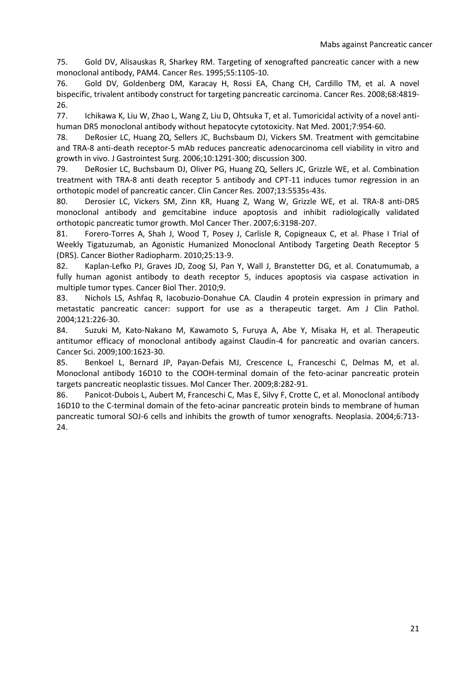75. Gold DV, Alisauskas R, Sharkey RM. Targeting of xenografted pancreatic cancer with a new monoclonal antibody, PAM4. Cancer Res. 1995;55:1105-10.

76. Gold DV, Goldenberg DM, Karacay H, Rossi EA, Chang CH, Cardillo TM, et al. A novel bispecific, trivalent antibody construct for targeting pancreatic carcinoma. Cancer Res. 2008;68:4819- 26.

77. Ichikawa K, Liu W, Zhao L, Wang Z, Liu D, Ohtsuka T, et al. Tumoricidal activity of a novel antihuman DR5 monoclonal antibody without hepatocyte cytotoxicity. Nat Med. 2001;7:954-60.

78. DeRosier LC, Huang ZQ, Sellers JC, Buchsbaum DJ, Vickers SM. Treatment with gemcitabine and TRA-8 anti-death receptor-5 mAb reduces pancreatic adenocarcinoma cell viability in vitro and growth in vivo. J Gastrointest Surg. 2006;10:1291-300; discussion 300.

79. DeRosier LC, Buchsbaum DJ, Oliver PG, Huang ZQ, Sellers JC, Grizzle WE, et al. Combination treatment with TRA-8 anti death receptor 5 antibody and CPT-11 induces tumor regression in an orthotopic model of pancreatic cancer. Clin Cancer Res. 2007;13:5535s-43s.

80. Derosier LC, Vickers SM, Zinn KR, Huang Z, Wang W, Grizzle WE, et al. TRA-8 anti-DR5 monoclonal antibody and gemcitabine induce apoptosis and inhibit radiologically validated orthotopic pancreatic tumor growth. Mol Cancer Ther. 2007;6:3198-207.

81. Forero-Torres A, Shah J, Wood T, Posey J, Carlisle R, Copigneaux C, et al. Phase I Trial of Weekly Tigatuzumab, an Agonistic Humanized Monoclonal Antibody Targeting Death Receptor 5 (DR5). Cancer Biother Radiopharm. 2010;25:13-9.

82. Kaplan-Lefko PJ, Graves JD, Zoog SJ, Pan Y, Wall J, Branstetter DG, et al. Conatumumab, a fully human agonist antibody to death receptor 5, induces apoptosis via caspase activation in multiple tumor types. Cancer Biol Ther. 2010;9.

83. Nichols LS, Ashfaq R, Iacobuzio-Donahue CA. Claudin 4 protein expression in primary and metastatic pancreatic cancer: support for use as a therapeutic target. Am J Clin Pathol. 2004;121:226-30.

84. Suzuki M, Kato-Nakano M, Kawamoto S, Furuya A, Abe Y, Misaka H, et al. Therapeutic antitumor efficacy of monoclonal antibody against Claudin-4 for pancreatic and ovarian cancers. Cancer Sci. 2009;100:1623-30.

85. Benkoel L, Bernard JP, Payan-Defais MJ, Crescence L, Franceschi C, Delmas M, et al. Monoclonal antibody 16D10 to the COOH-terminal domain of the feto-acinar pancreatic protein targets pancreatic neoplastic tissues. Mol Cancer Ther. 2009;8:282-91.

86. Panicot-Dubois L, Aubert M, Franceschi C, Mas E, Silvy F, Crotte C, et al. Monoclonal antibody 16D10 to the C-terminal domain of the feto-acinar pancreatic protein binds to membrane of human pancreatic tumoral SOJ-6 cells and inhibits the growth of tumor xenografts. Neoplasia. 2004;6:713- 24.